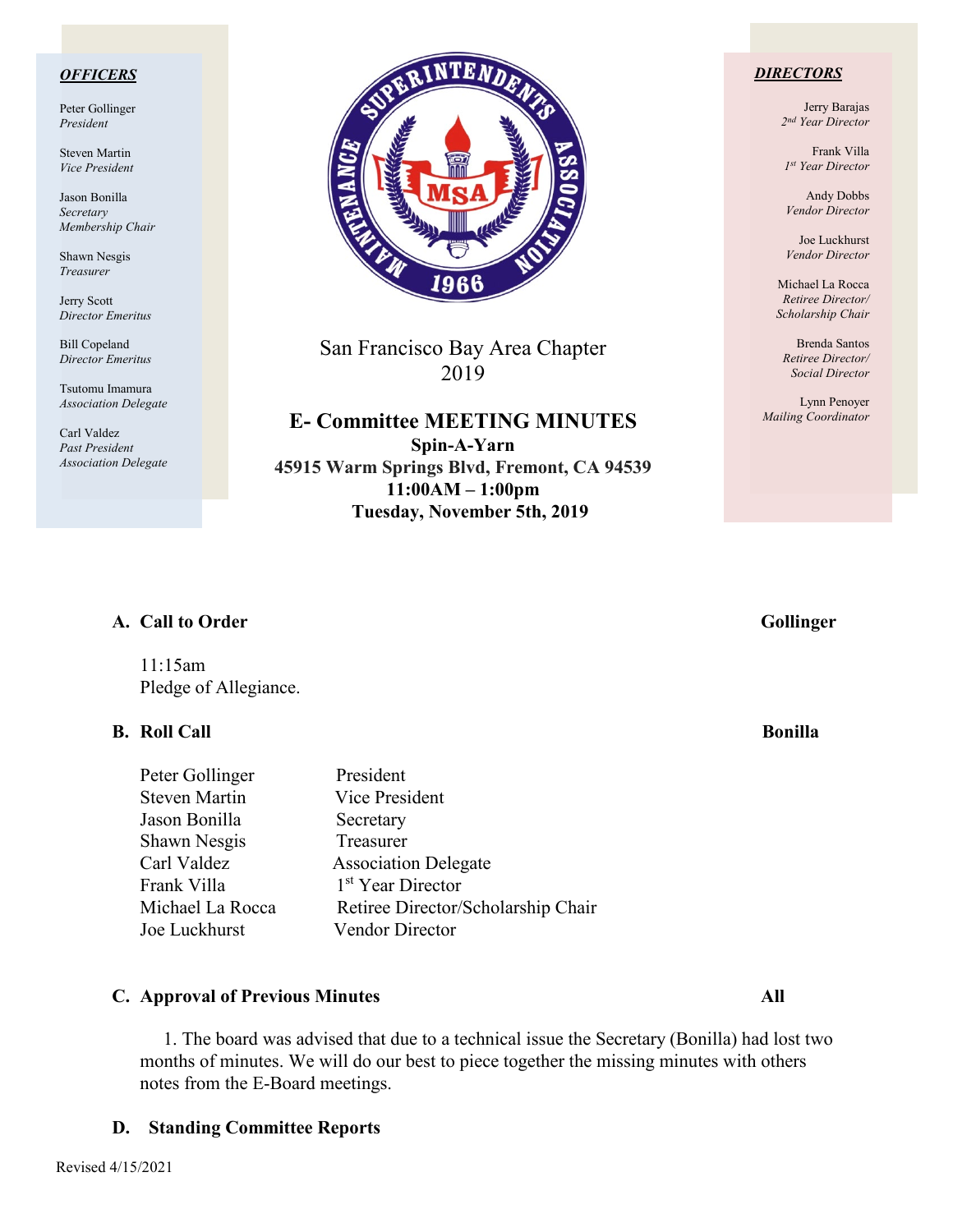#### *OFFICERS*

Peter Gollinger *President*

Steven Martin *Vice President*

Jason Bonilla *Secretary Membership Chair*

Shawn Nesgis *Treasurer*

Jerry Scott *Director Emeritus*

Bill Copeland *Director Emeritus*

Tsutomu Imamura *Association Delegate*

Carl Valdez *Past President Association Delegate*



San Francisco Bay Area Chapter 2019

**E- Committee MEETING MINUTES Spin-A-Yarn 45915 Warm Springs Blvd, Fremont, CA 94539 11:00AM – 1:00pm Tuesday, November 5th, 2019**

#### *DIRECTORS*

Jerry Barajas *2nd Year Director*

Frank Villa *1st Year Director*

Andy Dobbs *Vendor Director*

Joe Luckhurst *Vendor Director*

Michael La Rocca *Retiree Director/ Scholarship Chair*

Brenda Santos *Retiree Director/ Social Director*

Lynn Penoyer *Mailing Coordinator*

## A. Call to Order Gollinger

11:15am Pledge of Allegiance.

### **B.** Roll Call Bonilla

Peter Gollinger President Steven Martin Vice President Jason Bonilla Secretary Shawn Nesgis Treasurer Carl Valdez Association Delegate Frank Villa 1<sup>st</sup> Year Director Michael La Rocca Retiree Director/Scholarship Chair Joe Luckhurst Vendor Director

## **C. Approval of Previous Minutes All**

1. The board was advised that due to a technical issue the Secretary (Bonilla) had lost two months of minutes. We will do our best to piece together the missing minutes with others notes from the E-Board meetings.

### **D. Standing Committee Reports**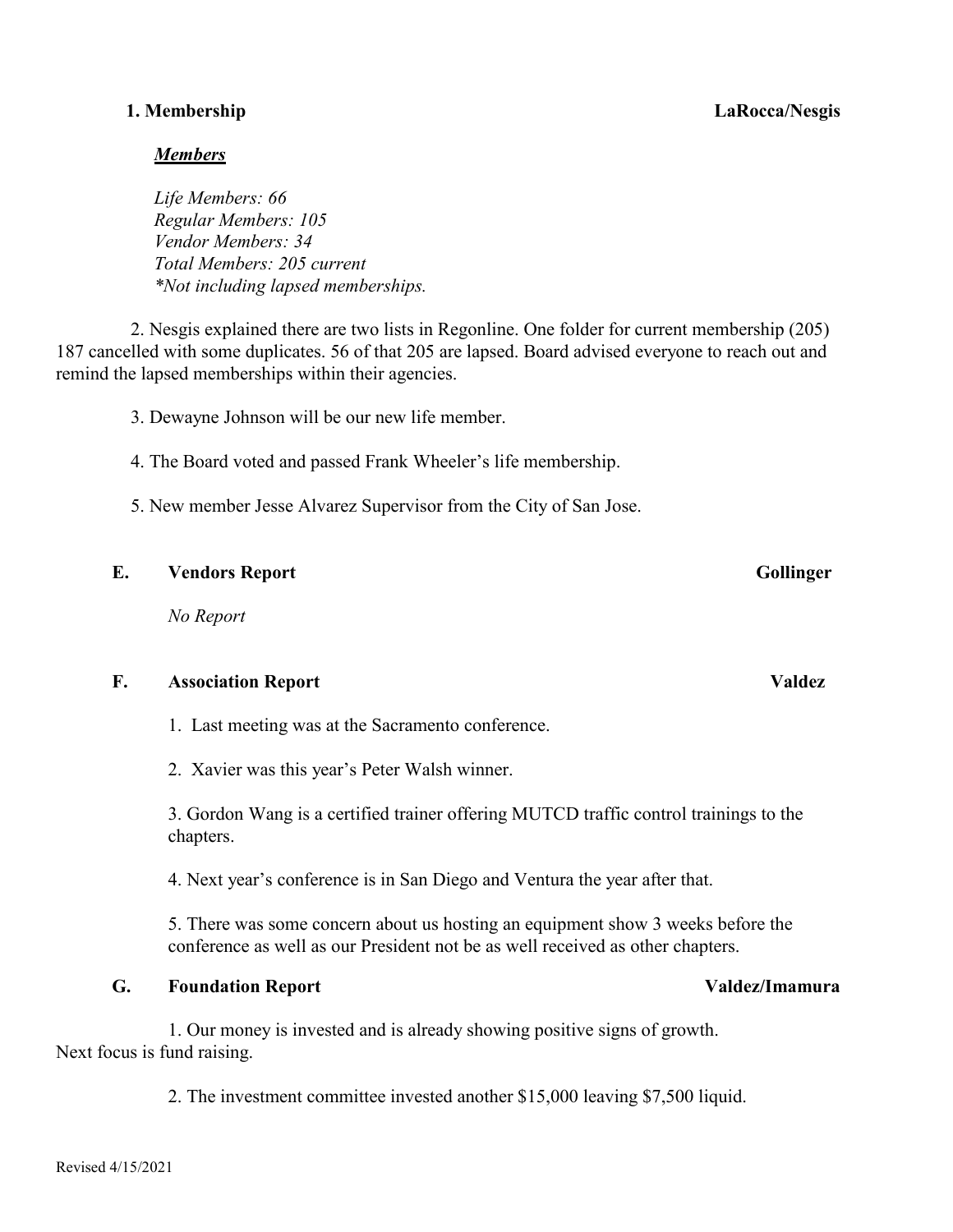## **1. Membership LaRocca/Nesgis**

## *Members*

*Life Members: 66 Regular Members: 105 Vendor Members: 34 Total Members: 205 current \*Not including lapsed memberships.*

2. Nesgis explained there are two lists in Regonline. One folder for current membership (205) 187 cancelled with some duplicates. 56 of that 205 are lapsed. Board advised everyone to reach out and remind the lapsed memberships within their agencies.

3. Dewayne Johnson will be our new life member.

- 4. The Board voted and passed Frank Wheeler's life membership.
- 5. New member Jesse Alvarez Supervisor from the City of San Jose.

## **E. Vendors Report Gollinger**

*No Report*

### **F. Association Report Valdez**

1. Last meeting was at the Sacramento conference.

2. Xavier was this year's Peter Walsh winner.

3. Gordon Wang is a certified trainer offering MUTCD traffic control trainings to the chapters.

4. Next year's conference is in San Diego and Ventura the year after that.

5. There was some concern about us hosting an equipment show 3 weeks before the conference as well as our President not be as well received as other chapters.

## **G. Foundation Report Valdez/Imamura**

 1. Our money is invested and is already showing positive signs of growth. Next focus is fund raising.

2. The investment committee invested another \$15,000 leaving \$7,500 liquid.

#### Revised 4/15/2021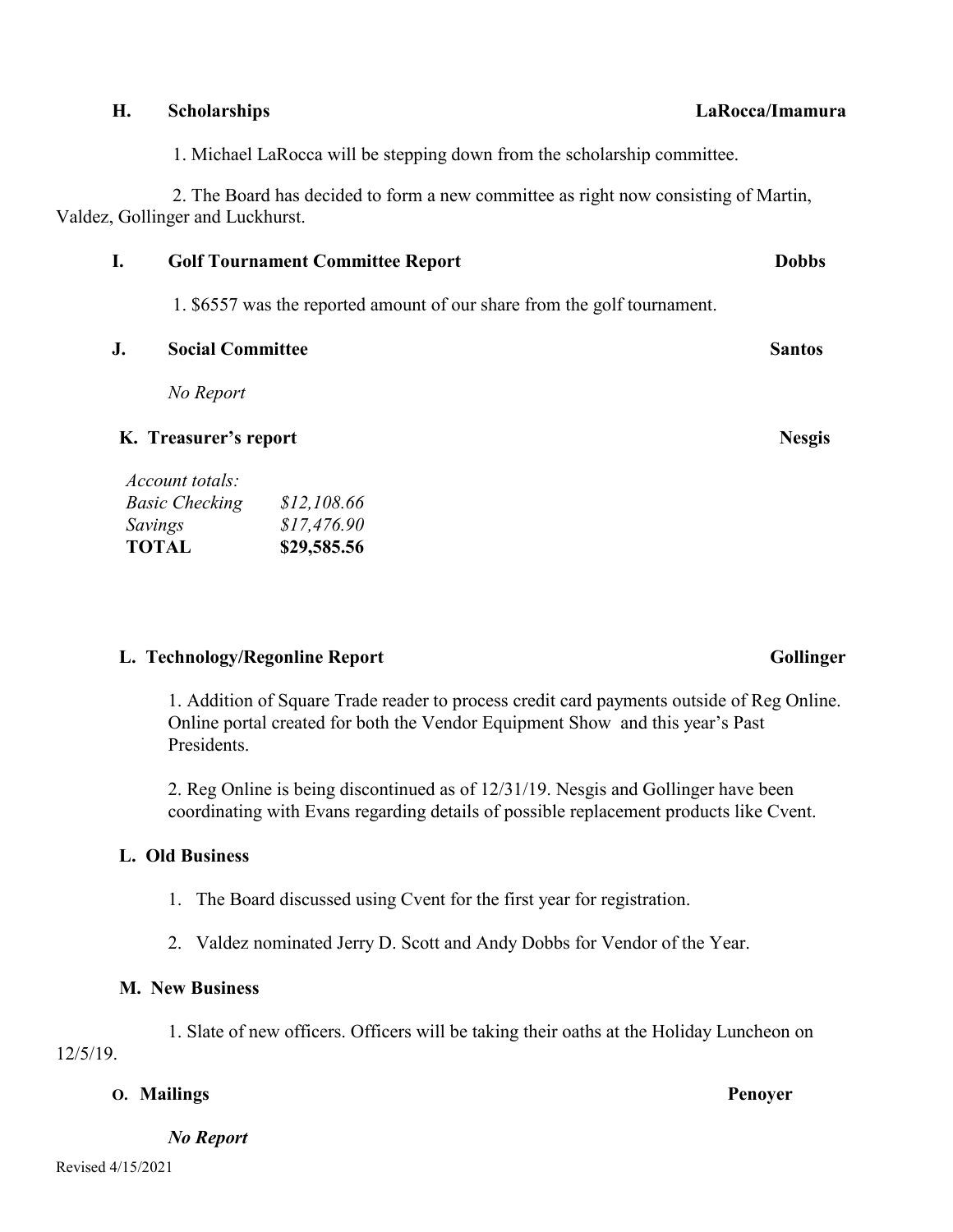|    | Valdez, Gollinger and Luckhurst.        |                                                                          |  |               |  |
|----|-----------------------------------------|--------------------------------------------------------------------------|--|---------------|--|
| I. | <b>Golf Tournament Committee Report</b> |                                                                          |  | <b>Dobbs</b>  |  |
|    |                                         | 1. \$6557 was the reported amount of our share from the golf tournament. |  |               |  |
| J. | <b>Social Committee</b>                 |                                                                          |  | <b>Santos</b> |  |
|    | No Report                               |                                                                          |  |               |  |
|    | K. Treasurer's report                   |                                                                          |  | <b>Nesgis</b> |  |
|    | Account totals:                         |                                                                          |  |               |  |
|    | <b>Basic Checking</b>                   | \$12,108.66                                                              |  |               |  |
|    | Savings                                 | \$17,476.90                                                              |  |               |  |
|    | <b>TOTAL</b>                            | \$29,585.56                                                              |  |               |  |

1. Michael LaRocca will be stepping down from the scholarship committee.

2. The Board has decided to form a new committee as right now consisting of Martin,

## L. Technology/Regonline Report **Gollinger** Gollinger

1. Addition of Square Trade reader to process credit card payments outside of Reg Online. Online portal created for both the Vendor Equipment Show and this year's Past Presidents.

2. Reg Online is being discontinued as of 12/31/19. Nesgis and Gollinger have been coordinating with Evans regarding details of possible replacement products like Cvent.

## **L. Old Business**

1. The Board discussed using Cvent for the first year for registration.

2. Valdez nominated Jerry D. Scott and Andy Dobbs for Vendor of the Year.

## **M. New Business**

1. Slate of new officers. Officers will be taking their oaths at the Holiday Luncheon on 12/5/19.

## **O. Mailings Penoyer**

*No Report*

**H. Scholarships LaRocca/Imamura**